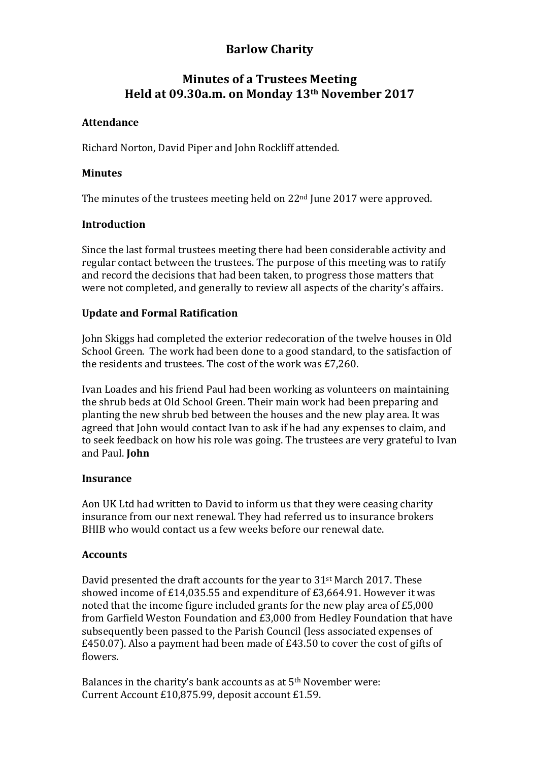# **Barlow Charity**

# **Minutes of a Trustees Meeting Held at 09.30a.m. on Monday 13th November 2017**

# **Attendance**

Richard Norton, David Piper and John Rockliff attended.

# **Minutes**

The minutes of the trustees meeting held on  $22<sup>nd</sup>$  June 2017 were approved.

# **Introduction**

Since the last formal trustees meeting there had been considerable activity and regular contact between the trustees. The purpose of this meeting was to ratify and record the decisions that had been taken, to progress those matters that were not completed, and generally to review all aspects of the charity's affairs.

# **Update and Formal Ratification**

John Skiggs had completed the exterior redecoration of the twelve houses in Old School Green. The work had been done to a good standard, to the satisfaction of the residents and trustees. The cost of the work was  $£7,260$ .

Ivan Loades and his friend Paul had been working as volunteers on maintaining the shrub beds at Old School Green. Their main work had been preparing and planting the new shrub bed between the houses and the new play area. It was agreed that John would contact Ivan to ask if he had any expenses to claim, and to seek feedback on how his role was going. The trustees are very grateful to Ivan and Paul. **John**

#### **Insurance**

Aon UK Ltd had written to David to inform us that they were ceasing charity insurance from our next renewal. They had referred us to insurance brokers BHIB who would contact us a few weeks before our renewal date.

#### **Accounts**

David presented the draft accounts for the vear to  $31<sup>st</sup>$  March 2017. These showed income of  $£14.035.55$  and expenditure of  $£3.664.91$ . However it was noted that the income figure included grants for the new play area of  $£5,000$ from Garfield Weston Foundation and £3,000 from Hedley Foundation that have subsequently been passed to the Parish Council (less associated expenses of  $£450.07$ ). Also a payment had been made of  $£43.50$  to cover the cost of gifts of flowers.

Balances in the charity's bank accounts as at  $5<sup>th</sup>$  November were: Current Account £10,875.99, deposit account £1.59.